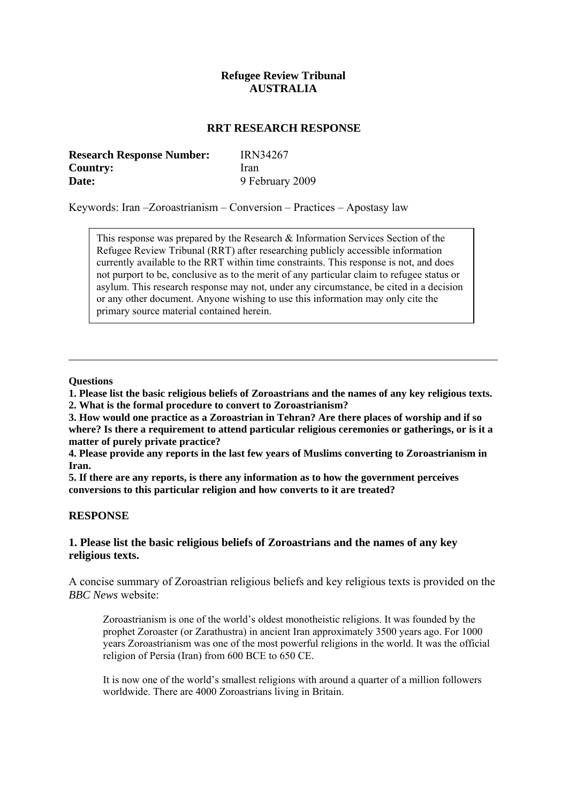# **Refugee Review Tribunal AUSTRALIA**

#### **RRT RESEARCH RESPONSE**

| <b>Research Response Number:</b> | <b>IRN34267</b> |
|----------------------------------|-----------------|
| <b>Country:</b>                  | Iran            |
| Date:                            | 9 February 2009 |

Keywords: Iran –Zoroastrianism – Conversion – Practices – Apostasy law

This response was prepared by the Research & Information Services Section of the Refugee Review Tribunal (RRT) after researching publicly accessible information currently available to the RRT within time constraints. This response is not, and does not purport to be, conclusive as to the merit of any particular claim to refugee status or asylum. This research response may not, under any circumstance, be cited in a decision or any other document. Anyone wishing to use this information may only cite the primary source material contained herein.

#### **Questions**

**1. Please list the basic religious beliefs of Zoroastrians and the names of any key religious texts.** 

**2. What is the formal procedure to convert to Zoroastrianism?** 

**3. How would one practice as a Zoroastrian in Tehran? Are there places of worship and if so where? Is there a requirement to attend particular religious ceremonies or gatherings, or is it a matter of purely private practice?** 

**4. Please provide any reports in the last few years of Muslims converting to Zoroastrianism in Iran.** 

**5. If there are any reports, is there any information as to how the government perceives conversions to this particular religion and how converts to it are treated?** 

#### **RESPONSE**

## **1. Please list the basic religious beliefs of Zoroastrians and the names of any key religious texts.**

A concise summary of Zoroastrian religious beliefs and key religious texts is provided on the *BBC News* website:

Zoroastrianism is one of the world's oldest monotheistic religions. It was founded by the prophet Zoroaster (or Zarathustra) in ancient Iran approximately 3500 years ago. For 1000 years Zoroastrianism was one of the most powerful religions in the world. It was the official religion of Persia (Iran) from 600 BCE to 650 CE.

It is now one of the world's smallest religions with around a quarter of a million followers worldwide. There are 4000 Zoroastrians living in Britain.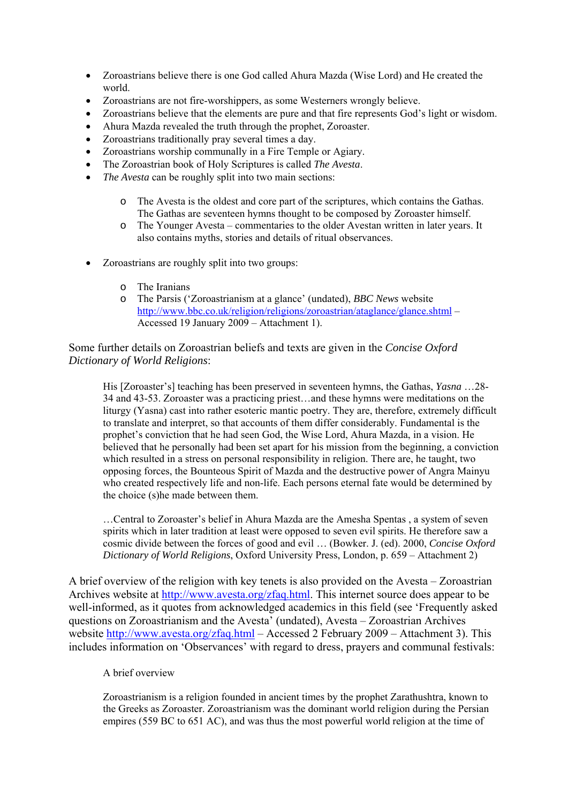- Zoroastrians believe there is one God called Ahura Mazda (Wise Lord) and He created the world.
- Zoroastrians are not fire-worshippers, as some Westerners wrongly believe.
- Zoroastrians believe that the elements are pure and that fire represents God's light or wisdom.
- Ahura Mazda revealed the truth through the prophet, Zoroaster.
- Zoroastrians traditionally pray several times a day.
- Zoroastrians worship communally in a Fire Temple or Agiary.
- The Zoroastrian book of Holy Scriptures is called *The Avesta*.
- *The Avesta* can be roughly split into two main sections:
	- o The Avesta is the oldest and core part of the scriptures, which contains the Gathas. The Gathas are seventeen hymns thought to be composed by Zoroaster himself.
	- o The Younger Avesta commentaries to the older Avestan written in later years. It also contains myths, stories and details of ritual observances.
- Zoroastrians are roughly split into two groups:
	- o The Iranians
	- o The Parsis ('Zoroastrianism at a glance' (undated), *BBC News* website <http://www.bbc.co.uk/religion/religions/zoroastrian/ataglance/glance.shtml>– Accessed 19 January 2009 – Attachment 1).

Some further details on Zoroastrian beliefs and texts are given in the *Concise Oxford Dictionary of World Religions*:

His [Zoroaster's] teaching has been preserved in seventeen hymns, the Gathas, *Yasna* …28- 34 and 43-53. Zoroaster was a practicing priest…and these hymns were meditations on the liturgy (Yasna) cast into rather esoteric mantic poetry. They are, therefore, extremely difficult to translate and interpret, so that accounts of them differ considerably. Fundamental is the prophet's conviction that he had seen God, the Wise Lord, Ahura Mazda, in a vision. He believed that he personally had been set apart for his mission from the beginning, a conviction which resulted in a stress on personal responsibility in religion. There are, he taught, two opposing forces, the Bounteous Spirit of Mazda and the destructive power of Angra Mainyu who created respectively life and non-life. Each persons eternal fate would be determined by the choice (s)he made between them.

…Central to Zoroaster's belief in Ahura Mazda are the Amesha Spentas , a system of seven spirits which in later tradition at least were opposed to seven evil spirits. He therefore saw a cosmic divide between the forces of good and evil … (Bowker. J. (ed). 2000, *Concise Oxford Dictionary of World Religions*, Oxford University Press, London, p. 659 – Attachment 2)

A brief overview of the religion with key tenets is also provided on the Avesta – Zoroastrian Archives website at <http://www.avesta.org/zfaq.html>. This internet source does appear to be well-informed, as it quotes from acknowledged academics in this field (see 'Frequently asked questions on Zoroastrianism and the Avesta' (undated), Avesta – Zoroastrian Archives website <http://www.avesta.org/zfaq.html> – Accessed 2 February 2009 – Attachment 3). This includes information on 'Observances' with regard to dress, prayers and communal festivals:

#### A brief overview

Zoroastrianism is a religion founded in ancient times by the prophet Zarathushtra, known to the Greeks as Zoroaster. Zoroastrianism was the dominant world religion during the Persian empires (559 BC to 651 AC), and was thus the most powerful world religion at the time of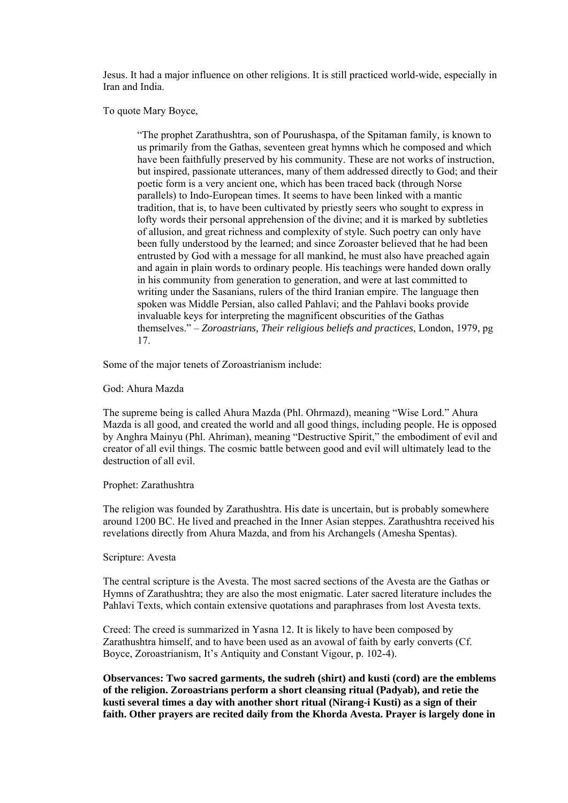Jesus. It had a major influence on other religions. It is still practiced world-wide, especially in Iran and India.

To quote Mary Boyce,

"The prophet Zarathushtra, son of Pourushaspa, of the Spitaman family, is known to us primarily from the Gathas, seventeen great hymns which he composed and which have been faithfully preserved by his community. These are not works of instruction, but inspired, passionate utterances, many of them addressed directly to God; and their poetic form is a very ancient one, which has been traced back (through Norse parallels) to Indo-European times. It seems to have been linked with a mantic tradition, that is, to have been cultivated by priestly seers who sought to express in lofty words their personal apprehension of the divine; and it is marked by subtleties of allusion, and great richness and complexity of style. Such poetry can only have been fully understood by the learned; and since Zoroaster believed that he had been entrusted by God with a message for all mankind, he must also have preached again and again in plain words to ordinary people. His teachings were handed down orally in his community from generation to generation, and were at last committed to writing under the Sasanians, rulers of the third Iranian empire. The language then spoken was Middle Persian, also called Pahlavi; and the Pahlavi books provide invaluable keys for interpreting the magnificent obscurities of the Gathas themselves." – *Zoroastrians, Their religious beliefs and practices*, London, 1979, pg 17.

Some of the major tenets of Zoroastrianism include:

God: Ahura Mazda

The supreme being is called Ahura Mazda (Phl. Ohrmazd), meaning "Wise Lord." Ahura Mazda is all good, and created the world and all good things, including people. He is opposed by Anghra Mainyu (Phl. Ahriman), meaning "Destructive Spirit," the embodiment of evil and creator of all evil things. The cosmic battle between good and evil will ultimately lead to the destruction of all evil.

#### Prophet: Zarathushtra

The religion was founded by Zarathushtra. His date is uncertain, but is probably somewhere around 1200 BC. He lived and preached in the Inner Asian steppes. Zarathushtra received his revelations directly from Ahura Mazda, and from his Archangels (Amesha Spentas).

#### Scripture: Avesta

The central scripture is the Avesta. The most sacred sections of the Avesta are the Gathas or Hymns of Zarathushtra; they are also the most enigmatic. Later sacred literature includes the Pahlavi Texts, which contain extensive quotations and paraphrases from lost Avesta texts.

Creed: The creed is summarized in Yasna 12. It is likely to have been composed by Zarathushtra himself, and to have been used as an avowal of faith by early converts (Cf. Boyce, Zoroastrianism, It's Antiquity and Constant Vigour, p. 102-4).

**Observances: Two sacred garments, the sudreh (shirt) and kusti (cord) are the emblems of the religion. Zoroastrians perform a short cleansing ritual (Padyab), and retie the kusti several times a day with another short ritual (Nirang-i Kusti) as a sign of their faith. Other prayers are recited daily from the Khorda Avesta. Prayer is largely done in**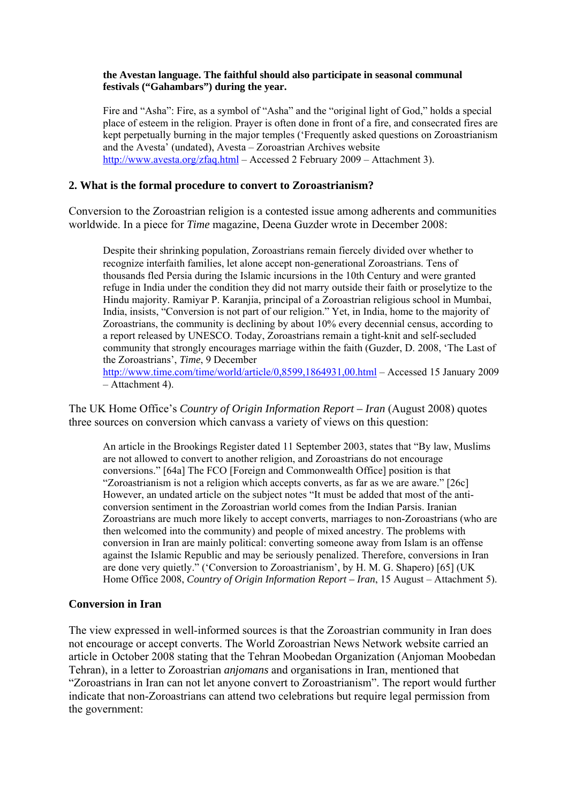### **the Avestan language. The faithful should also participate in seasonal communal festivals ("Gahambars") during the year.**

Fire and "Asha": Fire, as a symbol of "Asha" and the "original light of God," holds a special place of esteem in the religion. Prayer is often done in front of a fire, and consecrated fires are kept perpetually burning in the major temples ('Frequently asked questions on Zoroastrianism and the Avesta' (undated), Avesta – Zoroastrian Archives website <http://www.avesta.org/zfaq.html>– Accessed 2 February 2009 – Attachment 3).

# **2. What is the formal procedure to convert to Zoroastrianism?**

Conversion to the Zoroastrian religion is a contested issue among adherents and communities worldwide. In a piece for *Time* magazine, Deena Guzder wrote in December 2008:

Despite their shrinking population, Zoroastrians remain fiercely divided over whether to recognize interfaith families, let alone accept non-generational Zoroastrians. Tens of thousands fled Persia during the Islamic incursions in the 10th Century and were granted refuge in India under the condition they did not marry outside their faith or proselytize to the Hindu majority. Ramiyar P. Karanjia, principal of a Zoroastrian religious school in Mumbai, India, insists, "Conversion is not part of our religion." Yet, in India, home to the majority of Zoroastrians, the community is declining by about 10% every decennial census, according to a report released by UNESCO. Today, Zoroastrians remain a tight-knit and self-secluded community that strongly encourages marriage within the faith (Guzder, D. 2008, 'The Last of the Zoroastrians', *Time*, 9 December

<http://www.time.com/time/world/article/0,8599,1864931,00.html> – Accessed 15 January 2009 – Attachment 4).

The UK Home Office's *Country of Origin Information Report – Iran* (August 2008) quotes three sources on conversion which canvass a variety of views on this question:

An article in the Brookings Register dated 11 September 2003, states that "By law, Muslims are not allowed to convert to another religion, and Zoroastrians do not encourage conversions." [64a] The FCO [Foreign and Commonwealth Office] position is that "Zoroastrianism is not a religion which accepts converts, as far as we are aware." [26c] However, an undated article on the subject notes "It must be added that most of the anticonversion sentiment in the Zoroastrian world comes from the Indian Parsis. Iranian Zoroastrians are much more likely to accept converts, marriages to non-Zoroastrians (who are then welcomed into the community) and people of mixed ancestry. The problems with conversion in Iran are mainly political: converting someone away from Islam is an offense against the Islamic Republic and may be seriously penalized. Therefore, conversions in Iran are done very quietly." ('Conversion to Zoroastrianism', by H. M. G. Shapero) [65] (UK Home Office 2008, *Country of Origin Information Report – Iran*, 15 August – Attachment 5).

## **Conversion in Iran**

The view expressed in well-informed sources is that the Zoroastrian community in Iran does not encourage or accept converts. The World Zoroastrian News Network website carried an article in October 2008 stating that the Tehran Moobedan Organization (Anjoman Moobedan Tehran), in a letter to Zoroastrian *anjomans* and organisations in Iran, mentioned that "Zoroastrians in Iran can not let anyone convert to Zoroastrianism". The report would further indicate that non-Zoroastrians can attend two celebrations but require legal permission from the government: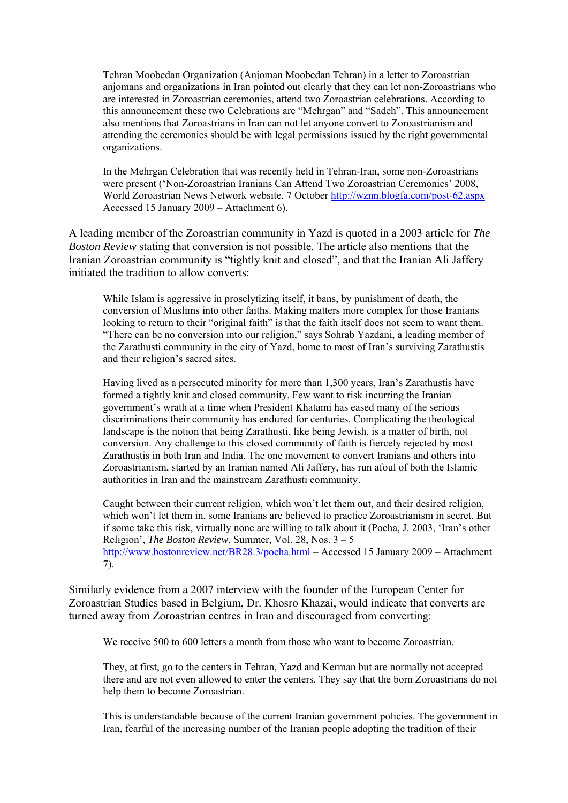Tehran Moobedan Organization (Anjoman Moobedan Tehran) in a letter to Zoroastrian anjomans and organizations in Iran pointed out clearly that they can let non-Zoroastrians who are interested in Zoroastrian ceremonies, attend two Zoroastrian celebrations. According to this announcement these two Celebrations are "Mehrgan" and "Sadeh". This announcement also mentions that Zoroastrians in Iran can not let anyone convert to Zoroastrianism and attending the ceremonies should be with legal permissions issued by the right governmental organizations.

In the Mehrgan Celebration that was recently held in Tehran-Iran, some non-Zoroastrians were present ('Non-Zoroastrian Iranians Can Attend Two Zoroastrian Ceremonies' 2008, World Zoroastrian News Network website, 7 October <http://wznn.blogfa.com/post-62.aspx>– Accessed 15 January 2009 – Attachment 6).

A leading member of the Zoroastrian community in Yazd is quoted in a 2003 article for *The Boston Review* stating that conversion is not possible. The article also mentions that the Iranian Zoroastrian community is "tightly knit and closed", and that the Iranian Ali Jaffery initiated the tradition to allow converts:

While Islam is aggressive in proselytizing itself, it bans, by punishment of death, the conversion of Muslims into other faiths. Making matters more complex for those Iranians looking to return to their "original faith" is that the faith itself does not seem to want them. "There can be no conversion into our religion," says Sohrab Yazdani, a leading member of the Zarathusti community in the city of Yazd, home to most of Iran's surviving Zarathustis and their religion's sacred sites.

Having lived as a persecuted minority for more than 1,300 years, Iran's Zarathustis have formed a tightly knit and closed community. Few want to risk incurring the Iranian government's wrath at a time when President Khatami has eased many of the serious discriminations their community has endured for centuries. Complicating the theological landscape is the notion that being Zarathusti, like being Jewish, is a matter of birth, not conversion. Any challenge to this closed community of faith is fiercely rejected by most Zarathustis in both Iran and India. The one movement to convert Iranians and others into Zoroastrianism, started by an Iranian named Ali Jaffery, has run afoul of both the Islamic authorities in Iran and the mainstream Zarathusti community.

Caught between their current religion, which won't let them out, and their desired religion, which won't let them in, some Iranians are believed to practice Zoroastrianism in secret. But if some take this risk, virtually none are willing to talk about it (Pocha, J. 2003, 'Iran's other Religion', *The Boston Review*, Summer, Vol. 28, Nos. 3 – 5 <http://www.bostonreview.net/BR28.3/pocha.html>– Accessed 15 January 2009 – Attachment 7).

Similarly evidence from a 2007 interview with the founder of the European Center for Zoroastrian Studies based in Belgium, Dr. Khosro Khazai, would indicate that converts are turned away from Zoroastrian centres in Iran and discouraged from converting:

We receive 500 to 600 letters a month from those who want to become Zoroastrian.

They, at first, go to the centers in Tehran, Yazd and Kerman but are normally not accepted there and are not even allowed to enter the centers. They say that the born Zoroastrians do not help them to become Zoroastrian.

This is understandable because of the current Iranian government policies. The government in Iran, fearful of the increasing number of the Iranian people adopting the tradition of their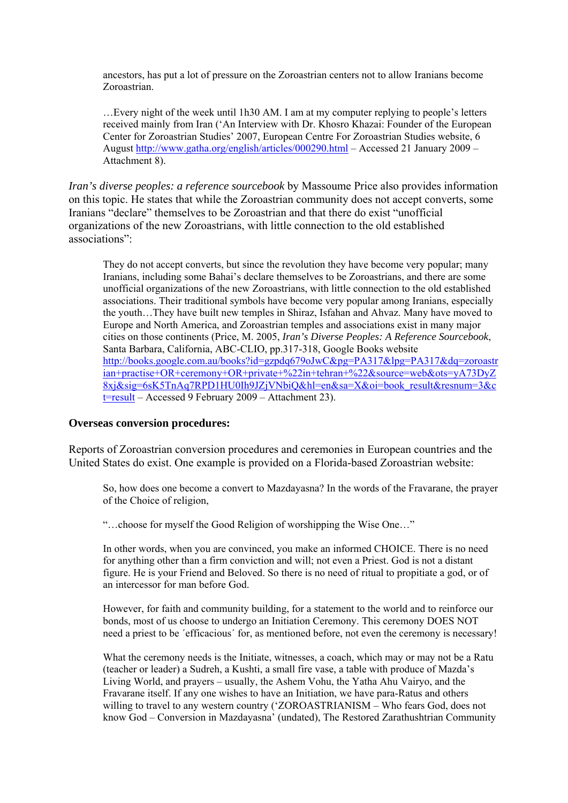ancestors, has put a lot of pressure on the Zoroastrian centers not to allow Iranians become Zoroastrian.

…Every night of the week until 1h30 AM. I am at my computer replying to people's letters received mainly from Iran ('An Interview with Dr. Khosro Khazai: Founder of the European Center for Zoroastrian Studies' 2007, European Centre For Zoroastrian Studies website, 6 August<http://www.gatha.org/english/articles/000290.html> – Accessed 21 January 2009 – Attachment 8).

*Iran's diverse peoples: a reference sourcebook* by Massoume Price also provides information on this topic. He states that while the Zoroastrian community does not accept converts, some Iranians "declare" themselves to be Zoroastrian and that there do exist "unofficial organizations of the new Zoroastrians, with little connection to the old established associations":

They do not accept converts, but since the revolution they have become very popular; many Iranians, including some Bahai's declare themselves to be Zoroastrians, and there are some unofficial organizations of the new Zoroastrians, with little connection to the old established associations. Their traditional symbols have become very popular among Iranians, especially the youth…They have built new temples in Shiraz, Isfahan and Ahvaz. Many have moved to Europe and North America, and Zoroastrian temples and associations exist in many major cities on those continents (Price, M. 2005, *Iran's Diverse Peoples: A Reference Sourcebook*, Santa Barbara, California, ABC-CLIO, pp.317-318, Google Books website [http://books.google.com.au/books?id=gzpdq679oJwC&pg=PA317&lpg=PA317&dq=zoroastr](http://books.google.com.au/books?id=gzpdq679oJwC&pg=PA317&lpg=PA317&dq=zoroastrian+practise+OR+ceremony+OR+private+%22in+tehran+%22&source=web&ots=yA73DyZ8xj&sig=6sK5TnAq7RPD1HU0Ih9JZjVNbiQ&hl=en&sa=X&oi=book_result&resnum=3&ct=result) [ian+practise+OR+ceremony+OR+private+%22in+tehran+%22&source=web&ots=yA73DyZ](http://books.google.com.au/books?id=gzpdq679oJwC&pg=PA317&lpg=PA317&dq=zoroastrian+practise+OR+ceremony+OR+private+%22in+tehran+%22&source=web&ots=yA73DyZ8xj&sig=6sK5TnAq7RPD1HU0Ih9JZjVNbiQ&hl=en&sa=X&oi=book_result&resnum=3&ct=result) [8xj&sig=6sK5TnAq7RPD1HU0Ih9JZjVNbiQ&hl=en&sa=X&oi=book\\_result&resnum=3&c](http://books.google.com.au/books?id=gzpdq679oJwC&pg=PA317&lpg=PA317&dq=zoroastrian+practise+OR+ceremony+OR+private+%22in+tehran+%22&source=web&ots=yA73DyZ8xj&sig=6sK5TnAq7RPD1HU0Ih9JZjVNbiQ&hl=en&sa=X&oi=book_result&resnum=3&ct=result) [t=result](http://books.google.com.au/books?id=gzpdq679oJwC&pg=PA317&lpg=PA317&dq=zoroastrian+practise+OR+ceremony+OR+private+%22in+tehran+%22&source=web&ots=yA73DyZ8xj&sig=6sK5TnAq7RPD1HU0Ih9JZjVNbiQ&hl=en&sa=X&oi=book_result&resnum=3&ct=result) – Accessed 9 February 2009 – Attachment 23).

#### **Overseas conversion procedures:**

Reports of Zoroastrian conversion procedures and ceremonies in European countries and the United States do exist. One example is provided on a Florida-based Zoroastrian website:

So, how does one become a convert to Mazdayasna? In the words of the Fravarane, the prayer of the Choice of religion,

"…choose for myself the Good Religion of worshipping the Wise One…"

In other words, when you are convinced, you make an informed CHOICE. There is no need for anything other than a firm conviction and will; not even a Priest. God is not a distant figure. He is your Friend and Beloved. So there is no need of ritual to propitiate a god, or of an intercessor for man before God.

However, for faith and community building, for a statement to the world and to reinforce our bonds, most of us choose to undergo an Initiation Ceremony. This ceremony DOES NOT need a priest to be ´efficacious´ for, as mentioned before, not even the ceremony is necessary!

What the ceremony needs is the Initiate, witnesses, a coach, which may or may not be a Ratu (teacher or leader) a Sudreh, a Kushti, a small fire vase, a table with produce of Mazda's Living World, and prayers – usually, the Ashem Vohu, the Yatha Ahu Vairyo, and the Fravarane itself. If any one wishes to have an Initiation, we have para-Ratus and others willing to travel to any western country ('ZOROASTRIANISM – Who fears God, does not know God – Conversion in Mazdayasna' (undated), The Restored Zarathushtrian Community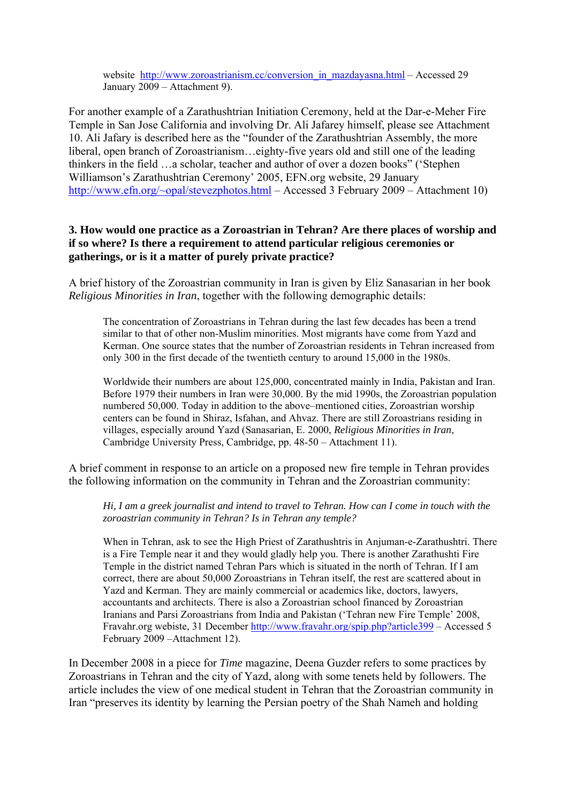website [http://www.zoroastrianism.cc/conversion\\_in\\_mazdayasna.html](http://www.zoroastrianism.cc/conversion_in_mazdayasna.html) – Accessed 29 January 2009 – Attachment 9).

For another example of a Zarathushtrian Initiation Ceremony, held at the Dar-e-Meher Fire Temple in San Jose California and involving Dr. Ali Jafarey himself, please see Attachment 10. Ali Jafary is described here as the "founder of the Zarathushtrian Assembly, the more liberal, open branch of Zoroastrianism…eighty-five years old and still one of the leading thinkers in the field …a scholar, teacher and author of over a dozen books" ('Stephen Williamson's Zarathushtrian Ceremony' 2005, EFN.org website, 29 January [http://www.efn.org/~opal/stevezphotos.html](http://www.efn.org/%7Eopal/stevezphotos.html) – Accessed 3 February 2009 – Attachment 10)

## **3. How would one practice as a Zoroastrian in Tehran? Are there places of worship and if so where? Is there a requirement to attend particular religious ceremonies or gatherings, or is it a matter of purely private practice?**

A brief history of the Zoroastrian community in Iran is given by Eliz Sanasarian in her book *Religious Minorities in Iran*, together with the following demographic details:

The concentration of Zoroastrians in Tehran during the last few decades has been a trend similar to that of other non-Muslim minorities. Most migrants have come from Yazd and Kerman. One source states that the number of Zoroastrian residents in Tehran increased from only 300 in the first decade of the twentieth century to around 15,000 in the 1980s.

Worldwide their numbers are about 125,000, concentrated mainly in India, Pakistan and Iran. Before 1979 their numbers in Iran were 30,000. By the mid 1990s, the Zoroastrian population numbered 50,000. Today in addition to the above–mentioned cities, Zoroastrian worship centers can be found in Shiraz, Isfahan, and Ahvaz. There are still Zoroastrians residing in villages, especially around Yazd (Sanasarian, E. 2000, *Religious Minorities in Iran*, Cambridge University Press, Cambridge, pp. 48-50 – Attachment 11).

A brief comment in response to an article on a proposed new fire temple in Tehran provides the following information on the community in Tehran and the Zoroastrian community:

*Hi, I am a greek journalist and intend to travel to Tehran. How can I come in touch with the zoroastrian community in Tehran? Is in Tehran any temple?* 

When in Tehran, ask to see the High Priest of Zarathushtris in Anjuman-e-Zarathushtri. There is a Fire Temple near it and they would gladly help you. There is another Zarathushti Fire Temple in the district named Tehran Pars which is situated in the north of Tehran. If I am correct, there are about 50,000 Zoroastrians in Tehran itself, the rest are scattered about in Yazd and Kerman. They are mainly commercial or academics like, doctors, lawyers, accountants and architects. There is also a Zoroastrian school financed by Zoroastrian Iranians and Parsi Zoroastrians from India and Pakistan ('Tehran new Fire Temple' 2008, Fravahr.org webiste, 31 December<http://www.fravahr.org/spip.php?article399>– Accessed 5 February 2009 –Attachment 12).

In December 2008 in a piece for *Time* magazine, Deena Guzder refers to some practices by Zoroastrians in Tehran and the city of Yazd, along with some tenets held by followers. The article includes the view of one medical student in Tehran that the Zoroastrian community in Iran "preserves its identity by learning the Persian poetry of the Shah Nameh and holding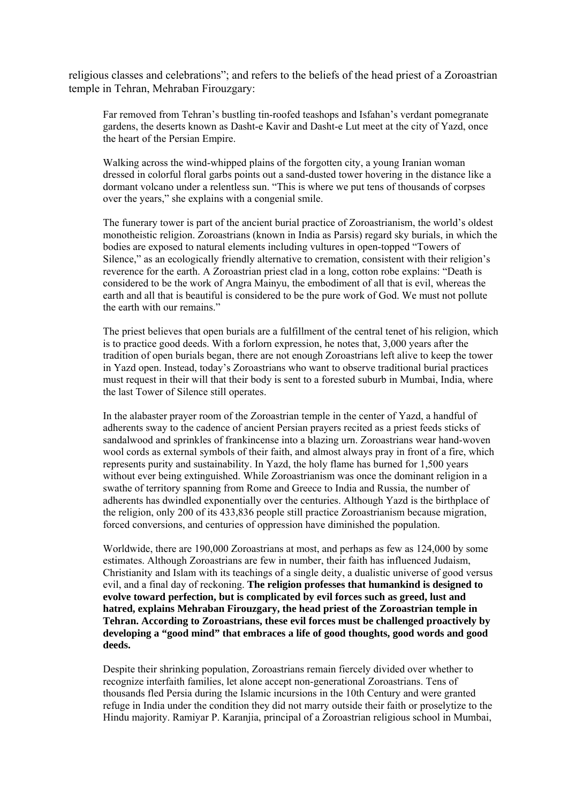religious classes and celebrations"; and refers to the beliefs of the head priest of a Zoroastrian temple in Tehran, Mehraban Firouzgary:

Far removed from Tehran's bustling tin-roofed teashops and Isfahan's verdant pomegranate gardens, the deserts known as Dasht-e Kavir and Dasht-e Lut meet at the city of Yazd, once the heart of the Persian Empire.

Walking across the wind-whipped plains of the forgotten city, a young Iranian woman dressed in colorful floral garbs points out a sand-dusted tower hovering in the distance like a dormant volcano under a relentless sun. "This is where we put tens of thousands of corpses over the years," she explains with a congenial smile.

The funerary tower is part of the ancient burial practice of Zoroastrianism, the world's oldest monotheistic religion. Zoroastrians (known in India as Parsis) regard sky burials, in which the bodies are exposed to natural elements including vultures in open-topped "Towers of Silence," as an ecologically friendly alternative to cremation, consistent with their religion's reverence for the earth. A Zoroastrian priest clad in a long, cotton robe explains: "Death is considered to be the work of Angra Mainyu, the embodiment of all that is evil, whereas the earth and all that is beautiful is considered to be the pure work of God. We must not pollute the earth with our remains."

The priest believes that open burials are a fulfillment of the central tenet of his religion, which is to practice good deeds. With a forlorn expression, he notes that, 3,000 years after the tradition of open burials began, there are not enough Zoroastrians left alive to keep the tower in Yazd open. Instead, today's Zoroastrians who want to observe traditional burial practices must request in their will that their body is sent to a forested suburb in Mumbai, India, where the last Tower of Silence still operates.

In the alabaster prayer room of the Zoroastrian temple in the center of Yazd, a handful of adherents sway to the cadence of ancient Persian prayers recited as a priest feeds sticks of sandalwood and sprinkles of frankincense into a blazing urn. Zoroastrians wear hand-woven wool cords as external symbols of their faith, and almost always pray in front of a fire, which represents purity and sustainability. In Yazd, the holy flame has burned for 1,500 years without ever being extinguished. While Zoroastrianism was once the dominant religion in a swathe of territory spanning from Rome and Greece to India and Russia, the number of adherents has dwindled exponentially over the centuries. Although Yazd is the birthplace of the religion, only 200 of its 433,836 people still practice Zoroastrianism because migration, forced conversions, and centuries of oppression have diminished the population.

Worldwide, there are 190,000 Zoroastrians at most, and perhaps as few as 124,000 by some estimates. Although Zoroastrians are few in number, their faith has influenced Judaism, Christianity and Islam with its teachings of a single deity, a dualistic universe of good versus evil, and a final day of reckoning. **The religion professes that humankind is designed to evolve toward perfection, but is complicated by evil forces such as greed, lust and hatred, explains Mehraban Firouzgary, the head priest of the Zoroastrian temple in Tehran. According to Zoroastrians, these evil forces must be challenged proactively by developing a "good mind" that embraces a life of good thoughts, good words and good deeds.** 

Despite their shrinking population, Zoroastrians remain fiercely divided over whether to recognize interfaith families, let alone accept non-generational Zoroastrians. Tens of thousands fled Persia during the Islamic incursions in the 10th Century and were granted refuge in India under the condition they did not marry outside their faith or proselytize to the Hindu majority. Ramiyar P. Karanjia, principal of a Zoroastrian religious school in Mumbai,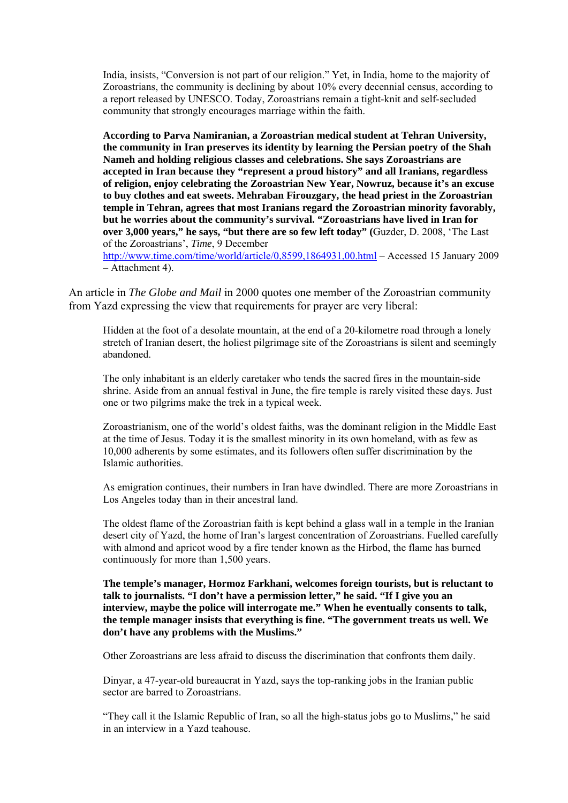India, insists, "Conversion is not part of our religion." Yet, in India, home to the majority of Zoroastrians, the community is declining by about 10% every decennial census, according to a report released by UNESCO. Today, Zoroastrians remain a tight-knit and self-secluded community that strongly encourages marriage within the faith.

**According to Parva Namiranian, a Zoroastrian medical student at Tehran University, the community in Iran preserves its identity by learning the Persian poetry of the Shah Nameh and holding religious classes and celebrations. She says Zoroastrians are accepted in Iran because they "represent a proud history" and all Iranians, regardless of religion, enjoy celebrating the Zoroastrian New Year, Nowruz, because it's an excuse to buy clothes and eat sweets. Mehraban Firouzgary, the head priest in the Zoroastrian temple in Tehran, agrees that most Iranians regard the Zoroastrian minority favorably, but he worries about the community's survival. "Zoroastrians have lived in Iran for over 3,000 years," he says, "but there are so few left today" (**Guzder, D. 2008, 'The Last of the Zoroastrians', *Time*, 9 December

<http://www.time.com/time/world/article/0,8599,1864931,00.html> – Accessed 15 January 2009 – Attachment 4).

An article in *The Globe and Mail* in 2000 quotes one member of the Zoroastrian community from Yazd expressing the view that requirements for prayer are very liberal:

Hidden at the foot of a desolate mountain, at the end of a 20-kilometre road through a lonely stretch of Iranian desert, the holiest pilgrimage site of the Zoroastrians is silent and seemingly abandoned.

The only inhabitant is an elderly caretaker who tends the sacred fires in the mountain-side shrine. Aside from an annual festival in June, the fire temple is rarely visited these days. Just one or two pilgrims make the trek in a typical week.

Zoroastrianism, one of the world's oldest faiths, was the dominant religion in the Middle East at the time of Jesus. Today it is the smallest minority in its own homeland, with as few as 10,000 adherents by some estimates, and its followers often suffer discrimination by the Islamic authorities.

As emigration continues, their numbers in Iran have dwindled. There are more Zoroastrians in Los Angeles today than in their ancestral land.

The oldest flame of the Zoroastrian faith is kept behind a glass wall in a temple in the Iranian desert city of Yazd, the home of Iran's largest concentration of Zoroastrians. Fuelled carefully with almond and apricot wood by a fire tender known as the Hirbod, the flame has burned continuously for more than 1,500 years.

**The temple's manager, Hormoz Farkhani, welcomes foreign tourists, but is reluctant to talk to journalists. "I don't have a permission letter," he said. "If I give you an interview, maybe the police will interrogate me." When he eventually consents to talk, the temple manager insists that everything is fine. "The government treats us well. We don't have any problems with the Muslims."** 

Other Zoroastrians are less afraid to discuss the discrimination that confronts them daily.

Dinyar, a 47-year-old bureaucrat in Yazd, says the top-ranking jobs in the Iranian public sector are barred to Zoroastrians.

"They call it the Islamic Republic of Iran, so all the high-status jobs go to Muslims," he said in an interview in a Yazd teahouse.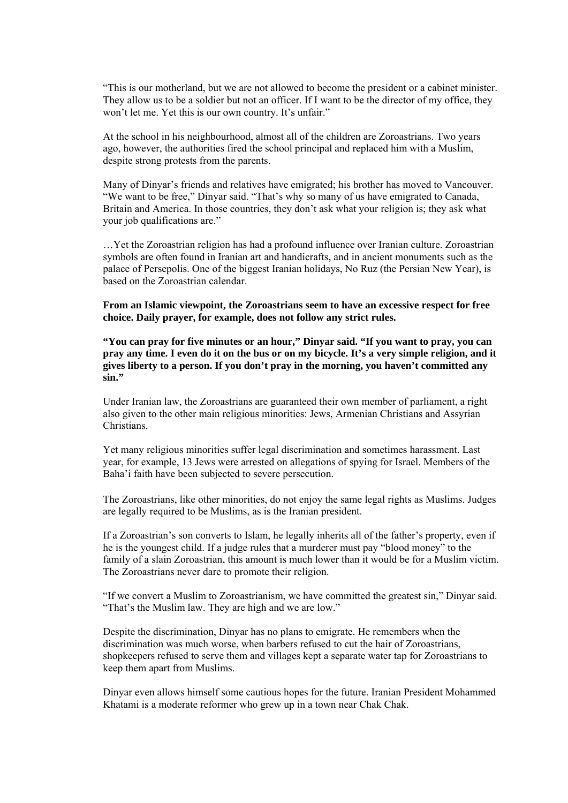"This is our motherland, but we are not allowed to become the president or a cabinet minister. They allow us to be a soldier but not an officer. If I want to be the director of my office, they won't let me. Yet this is our own country. It's unfair."

At the school in his neighbourhood, almost all of the children are Zoroastrians. Two years ago, however, the authorities fired the school principal and replaced him with a Muslim, despite strong protests from the parents.

Many of Dinyar's friends and relatives have emigrated; his brother has moved to Vancouver. "We want to be free," Dinyar said. "That's why so many of us have emigrated to Canada, Britain and America. In those countries, they don't ask what your religion is; they ask what your job qualifications are."

…Yet the Zoroastrian religion has had a profound influence over Iranian culture. Zoroastrian symbols are often found in Iranian art and handicrafts, and in ancient monuments such as the palace of Persepolis. One of the biggest Iranian holidays, No Ruz (the Persian New Year), is based on the Zoroastrian calendar.

**From an Islamic viewpoint, the Zoroastrians seem to have an excessive respect for free choice. Daily prayer, for example, does not follow any strict rules.** 

**"You can pray for five minutes or an hour," Dinyar said. "If you want to pray, you can pray any time. I even do it on the bus or on my bicycle. It's a very simple religion, and it gives liberty to a person. If you don't pray in the morning, you haven't committed any sin."** 

Under Iranian law, the Zoroastrians are guaranteed their own member of parliament, a right also given to the other main religious minorities: Jews, Armenian Christians and Assyrian Christians.

Yet many religious minorities suffer legal discrimination and sometimes harassment. Last year, for example, 13 Jews were arrested on allegations of spying for Israel. Members of the Baha'i faith have been subjected to severe persecution.

The Zoroastrians, like other minorities, do not enjoy the same legal rights as Muslims. Judges are legally required to be Muslims, as is the Iranian president.

If a Zoroastrian's son converts to Islam, he legally inherits all of the father's property, even if he is the youngest child. If a judge rules that a murderer must pay "blood money" to the family of a slain Zoroastrian, this amount is much lower than it would be for a Muslim victim. The Zoroastrians never dare to promote their religion.

"If we convert a Muslim to Zoroastrianism, we have committed the greatest sin," Dinyar said. "That's the Muslim law. They are high and we are low."

Despite the discrimination, Dinyar has no plans to emigrate. He remembers when the discrimination was much worse, when barbers refused to cut the hair of Zoroastrians, shopkeepers refused to serve them and villages kept a separate water tap for Zoroastrians to keep them apart from Muslims.

Dinyar even allows himself some cautious hopes for the future. Iranian President Mohammed Khatami is a moderate reformer who grew up in a town near Chak Chak.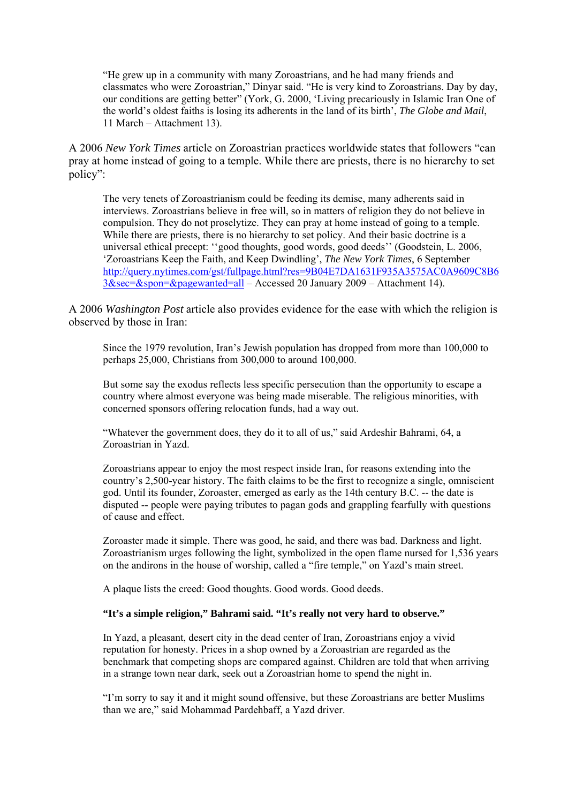"He grew up in a community with many Zoroastrians, and he had many friends and classmates who were Zoroastrian," Dinyar said. "He is very kind to Zoroastrians. Day by day, our conditions are getting better" (York, G. 2000, 'Living precariously in Islamic Iran One of the world's oldest faiths is losing its adherents in the land of its birth', *The Globe and Mail*, 11 March – Attachment 13).

A 2006 *New York Times* article on Zoroastrian practices worldwide states that followers "can pray at home instead of going to a temple. While there are priests, there is no hierarchy to set policy":

The very tenets of Zoroastrianism could be feeding its demise, many adherents said in interviews. Zoroastrians believe in free will, so in matters of religion they do not believe in compulsion. They do not proselytize. They can pray at home instead of going to a temple. While there are priests, there is no hierarchy to set policy. And their basic doctrine is a universal ethical precept: ''good thoughts, good words, good deeds'' (Goodstein, L. 2006, 'Zoroastrians Keep the Faith, and Keep Dwindling', *The New York Times*, 6 September [http://query.nytimes.com/gst/fullpage.html?res=9B04E7DA1631F935A3575AC0A9609C8B6](http://query.nytimes.com/gst/fullpage.html?res=9B04E7DA1631F935A3575AC0A9609C8B63&sec=&spon=&pagewanted=all) [3&sec=&spon=&pagewanted=all](http://query.nytimes.com/gst/fullpage.html?res=9B04E7DA1631F935A3575AC0A9609C8B63&sec=&spon=&pagewanted=all) – Accessed 20 January 2009 – Attachment 14).

A 2006 *Washington Post* article also provides evidence for the ease with which the religion is observed by those in Iran:

Since the 1979 revolution, Iran's Jewish population has dropped from more than 100,000 to perhaps 25,000, Christians from 300,000 to around 100,000.

But some say the exodus reflects less specific persecution than the opportunity to escape a country where almost everyone was being made miserable. The religious minorities, with concerned sponsors offering relocation funds, had a way out.

"Whatever the government does, they do it to all of us," said Ardeshir Bahrami, 64, a Zoroastrian in Yazd.

Zoroastrians appear to enjoy the most respect inside Iran, for reasons extending into the country's 2,500-year history. The faith claims to be the first to recognize a single, omniscient god. Until its founder, Zoroaster, emerged as early as the 14th century B.C. -- the date is disputed -- people were paying tributes to pagan gods and grappling fearfully with questions of cause and effect.

Zoroaster made it simple. There was good, he said, and there was bad. Darkness and light. Zoroastrianism urges following the light, symbolized in the open flame nursed for 1,536 years on the andirons in the house of worship, called a "fire temple," on Yazd's main street.

A plaque lists the creed: Good thoughts. Good words. Good deeds.

#### **"It's a simple religion," Bahrami said. "It's really not very hard to observe."**

In Yazd, a pleasant, desert city in the dead center of Iran, Zoroastrians enjoy a vivid reputation for honesty. Prices in a shop owned by a Zoroastrian are regarded as the benchmark that competing shops are compared against. Children are told that when arriving in a strange town near dark, seek out a Zoroastrian home to spend the night in.

"I'm sorry to say it and it might sound offensive, but these Zoroastrians are better Muslims than we are," said Mohammad Pardehbaff, a Yazd driver.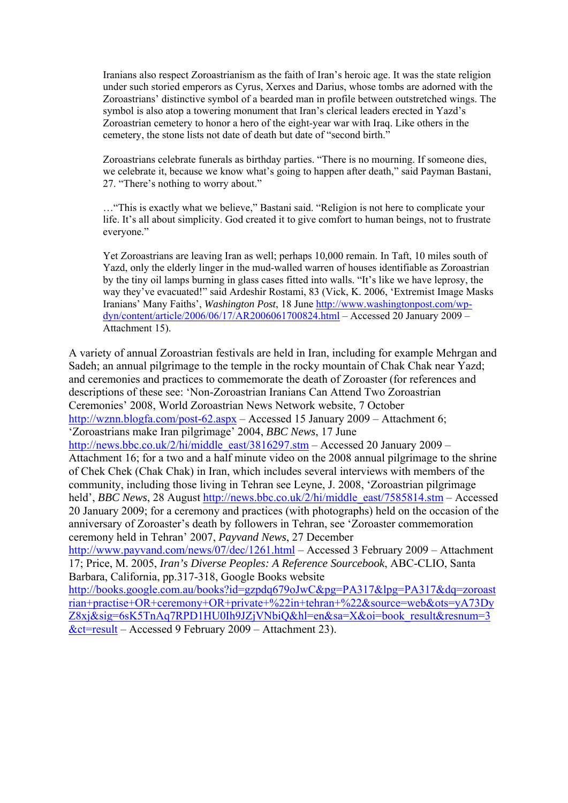Iranians also respect Zoroastrianism as the faith of Iran's heroic age. It was the state religion under such storied emperors as Cyrus, Xerxes and Darius, whose tombs are adorned with the Zoroastrians' distinctive symbol of a bearded man in profile between outstretched wings. The symbol is also atop a towering monument that Iran's clerical leaders erected in Yazd's Zoroastrian cemetery to honor a hero of the eight-year war with Iraq. Like others in the cemetery, the stone lists not date of death but date of "second birth."

Zoroastrians celebrate funerals as birthday parties. "There is no mourning. If someone dies, we celebrate it, because we know what's going to happen after death," said Payman Bastani, 27. "There's nothing to worry about."

…"This is exactly what we believe," Bastani said. "Religion is not here to complicate your life. It's all about simplicity. God created it to give comfort to human beings, not to frustrate everyone."

Yet Zoroastrians are leaving Iran as well; perhaps 10,000 remain. In Taft, 10 miles south of Yazd, only the elderly linger in the mud-walled warren of houses identifiable as Zoroastrian by the tiny oil lamps burning in glass cases fitted into walls. "It's like we have leprosy, the way they've evacuated!" said Ardeshir Rostami, 83 (Vick, K. 2006, 'Extremist Image Masks Iranians' Many Faiths', *Washington Post*, 18 June [http://www.washingtonpost.com/wp](http://www.washingtonpost.com/wp-dyn/content/article/2006/06/17/AR2006061700824.html)[dyn/content/article/2006/06/17/AR2006061700824.html](http://www.washingtonpost.com/wp-dyn/content/article/2006/06/17/AR2006061700824.html) – Accessed 20 January 2009 – Attachment 15).

A variety of annual Zoroastrian festivals are held in Iran, including for example Mehrgan and Sadeh; an annual pilgrimage to the temple in the rocky mountain of Chak Chak near Yazd; and ceremonies and practices to commemorate the death of Zoroaster (for references and descriptions of these see: 'Non-Zoroastrian Iranians Can Attend Two Zoroastrian Ceremonies' 2008, World Zoroastrian News Network website, 7 October <http://wznn.blogfa.com/post-62.aspx> – Accessed 15 January 2009 – Attachment 6; 'Zoroastrians make Iran pilgrimage' 2004, *BBC News*, 17 June [http://news.bbc.co.uk/2/hi/middle\\_east/3816297.stm](http://news.bbc.co.uk/2/hi/middle_east/3816297.stm) – Accessed 20 January 2009 – Attachment 16; for a two and a half minute video on the 2008 annual pilgrimage to the shrine of Chek Chek (Chak Chak) in Iran, which includes several interviews with members of the community, including those living in Tehran see Leyne, J. 2008, 'Zoroastrian pilgrimage held', *BBC News*, 28 August [http://news.bbc.co.uk/2/hi/middle\\_east/7585814.stm](http://news.bbc.co.uk/2/hi/middle_east/7585814.stm) – Accessed 20 January 2009; for a ceremony and practices (with photographs) held on the occasion of the anniversary of Zoroaster's death by followers in Tehran, see 'Zoroaster commemoration ceremony held in Tehran' 2007, *Payvand News*, 27 December <http://www.payvand.com/news/07/dec/1261.html> – Accessed 3 February 2009 – Attachment 17; Price, M. 2005, *Iran's Diverse Peoples: A Reference Sourcebook*, ABC-CLIO, Santa Barbara, California, pp.317-318, Google Books website [http://books.google.com.au/books?id=gzpdq679oJwC&pg=PA317&lpg=PA317&dq=zoroast](http://books.google.com.au/books?id=gzpdq679oJwC&pg=PA317&lpg=PA317&dq=zoroastrian+practise+OR+ceremony+OR+private+%22in+tehran+%22&source=web&ots=yA73DyZ8xj&sig=6sK5TnAq7RPD1HU0Ih9JZjVNbiQ&hl=en&sa=X&oi=book_result&resnum=3&ct=result) [rian+practise+OR+ceremony+OR+private+%22in+tehran+%22&source=web&ots=yA73Dy](http://books.google.com.au/books?id=gzpdq679oJwC&pg=PA317&lpg=PA317&dq=zoroastrian+practise+OR+ceremony+OR+private+%22in+tehran+%22&source=web&ots=yA73DyZ8xj&sig=6sK5TnAq7RPD1HU0Ih9JZjVNbiQ&hl=en&sa=X&oi=book_result&resnum=3&ct=result) [Z8xj&sig=6sK5TnAq7RPD1HU0Ih9JZjVNbiQ&hl=en&sa=X&oi=book\\_result&resnum=3](http://books.google.com.au/books?id=gzpdq679oJwC&pg=PA317&lpg=PA317&dq=zoroastrian+practise+OR+ceremony+OR+private+%22in+tehran+%22&source=web&ots=yA73DyZ8xj&sig=6sK5TnAq7RPD1HU0Ih9JZjVNbiQ&hl=en&sa=X&oi=book_result&resnum=3&ct=result)

[&ct=result](http://books.google.com.au/books?id=gzpdq679oJwC&pg=PA317&lpg=PA317&dq=zoroastrian+practise+OR+ceremony+OR+private+%22in+tehran+%22&source=web&ots=yA73DyZ8xj&sig=6sK5TnAq7RPD1HU0Ih9JZjVNbiQ&hl=en&sa=X&oi=book_result&resnum=3&ct=result) – Accessed 9 February 2009 – Attachment 23).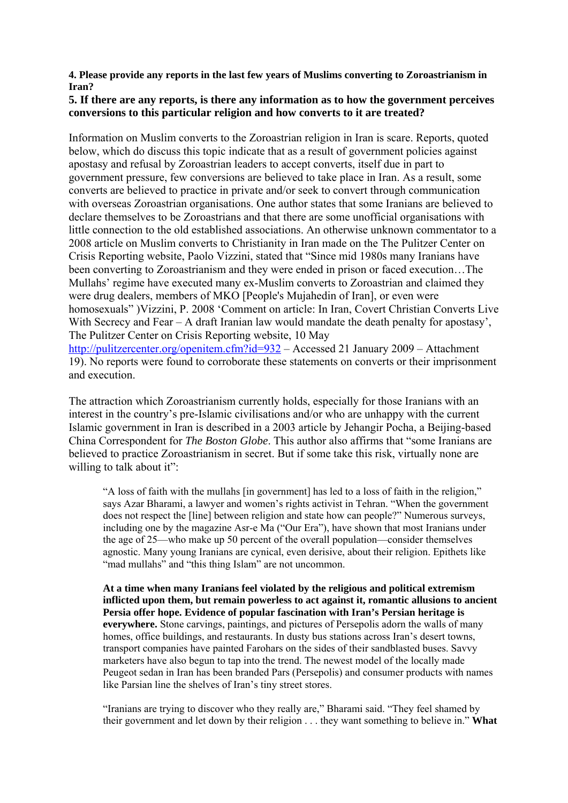### **4. Please provide any reports in the last few years of Muslims converting to Zoroastrianism in Iran?**

## **5. If there are any reports, is there any information as to how the government perceives conversions to this particular religion and how converts to it are treated?**

Information on Muslim converts to the Zoroastrian religion in Iran is scare. Reports, quoted below, which do discuss this topic indicate that as a result of government policies against apostasy and refusal by Zoroastrian leaders to accept converts, itself due in part to government pressure, few conversions are believed to take place in Iran. As a result, some converts are believed to practice in private and/or seek to convert through communication with overseas Zoroastrian organisations. One author states that some Iranians are believed to declare themselves to be Zoroastrians and that there are some unofficial organisations with little connection to the old established associations. An otherwise unknown commentator to a 2008 article on Muslim converts to Christianity in Iran made on the The Pulitzer Center on Crisis Reporting website, Paolo Vizzini, stated that "Since mid 1980s many Iranians have been converting to Zoroastrianism and they were ended in prison or faced execution…The Mullahs' regime have executed many ex-Muslim converts to Zoroastrian and claimed they were drug dealers, members of MKO [People's Mujahedin of Iran], or even were homosexuals" )Vizzini, P. 2008 'Comment on article: In Iran, Covert Christian Converts Live With Secrecy and Fear – A draft Iranian law would mandate the death penalty for apostasy', The Pulitzer Center on Crisis Reporting website, 10 May <http://pulitzercenter.org/openitem.cfm?id=932>– Accessed 21 January 2009 – Attachment 19). No reports were found to corroborate these statements on converts or their imprisonment and execution.

The attraction which Zoroastrianism currently holds, especially for those Iranians with an interest in the country's pre-Islamic civilisations and/or who are unhappy with the current Islamic government in Iran is described in a 2003 article by Jehangir Pocha, a Beijing-based China Correspondent for *The Boston Globe*. This author also affirms that "some Iranians are believed to practice Zoroastrianism in secret. But if some take this risk, virtually none are willing to talk about it":

"A loss of faith with the mullahs [in government] has led to a loss of faith in the religion," says Azar Bharami, a lawyer and women's rights activist in Tehran. "When the government does not respect the [line] between religion and state how can people?" Numerous surveys, including one by the magazine Asr-e Ma ("Our Era"), have shown that most Iranians under the age of 25—who make up 50 percent of the overall population—consider themselves agnostic. Many young Iranians are cynical, even derisive, about their religion. Epithets like "mad mullahs" and "this thing Islam" are not uncommon.

**At a time when many Iranians feel violated by the religious and political extremism inflicted upon them, but remain powerless to act against it, romantic allusions to ancient Persia offer hope. Evidence of popular fascination with Iran's Persian heritage is everywhere.** Stone carvings, paintings, and pictures of Persepolis adorn the walls of many homes, office buildings, and restaurants. In dusty bus stations across Iran's desert towns, transport companies have painted Farohars on the sides of their sandblasted buses. Savvy marketers have also begun to tap into the trend. The newest model of the locally made Peugeot sedan in Iran has been branded Pars (Persepolis) and consumer products with names like Parsian line the shelves of Iran's tiny street stores.

"Iranians are trying to discover who they really are," Bharami said. "They feel shamed by their government and let down by their religion . . . they want something to believe in." **What**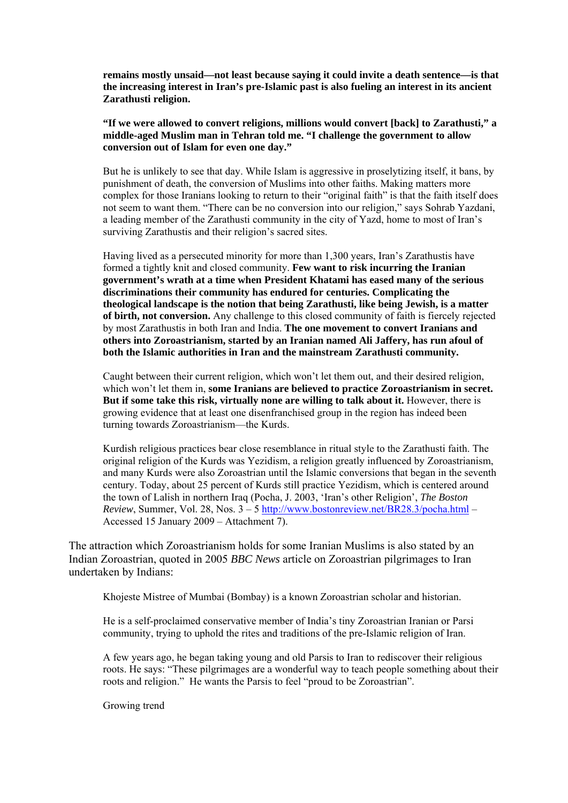**remains mostly unsaid—not least because saying it could invite a death sentence—is that the increasing interest in Iran's pre-Islamic past is also fueling an interest in its ancient Zarathusti religion.** 

**"If we were allowed to convert religions, millions would convert [back] to Zarathusti," a middle-aged Muslim man in Tehran told me. "I challenge the government to allow conversion out of Islam for even one day."** 

But he is unlikely to see that day. While Islam is aggressive in proselytizing itself, it bans, by punishment of death, the conversion of Muslims into other faiths. Making matters more complex for those Iranians looking to return to their "original faith" is that the faith itself does not seem to want them. "There can be no conversion into our religion," says Sohrab Yazdani, a leading member of the Zarathusti community in the city of Yazd, home to most of Iran's surviving Zarathustis and their religion's sacred sites.

Having lived as a persecuted minority for more than 1,300 years, Iran's Zarathustis have formed a tightly knit and closed community. **Few want to risk incurring the Iranian government's wrath at a time when President Khatami has eased many of the serious discriminations their community has endured for centuries. Complicating the theological landscape is the notion that being Zarathusti, like being Jewish, is a matter of birth, not conversion.** Any challenge to this closed community of faith is fiercely rejected by most Zarathustis in both Iran and India. **The one movement to convert Iranians and others into Zoroastrianism, started by an Iranian named Ali Jaffery, has run afoul of both the Islamic authorities in Iran and the mainstream Zarathusti community.** 

Caught between their current religion, which won't let them out, and their desired religion, which won't let them in, **some Iranians are believed to practice Zoroastrianism in secret. But if some take this risk, virtually none are willing to talk about it.** However, there is growing evidence that at least one disenfranchised group in the region has indeed been turning towards Zoroastrianism—the Kurds.

Kurdish religious practices bear close resemblance in ritual style to the Zarathusti faith. The original religion of the Kurds was Yezidism, a religion greatly influenced by Zoroastrianism, and many Kurds were also Zoroastrian until the Islamic conversions that began in the seventh century. Today, about 25 percent of Kurds still practice Yezidism, which is centered around the town of Lalish in northern Iraq (Pocha, J. 2003, 'Iran's other Religion', *The Boston Review*, Summer, Vol. 28, Nos. 3 – 5<http://www.bostonreview.net/BR28.3/pocha.html>– Accessed 15 January 2009 – Attachment 7).

The attraction which Zoroastrianism holds for some Iranian Muslims is also stated by an Indian Zoroastrian, quoted in 2005 *BBC News* article on Zoroastrian pilgrimages to Iran undertaken by Indians:

Khojeste Mistree of Mumbai (Bombay) is a known Zoroastrian scholar and historian.

He is a self-proclaimed conservative member of India's tiny Zoroastrian Iranian or Parsi community, trying to uphold the rites and traditions of the pre-Islamic religion of Iran.

A few years ago, he began taking young and old Parsis to Iran to rediscover their religious roots. He says: "These pilgrimages are a wonderful way to teach people something about their roots and religion." He wants the Parsis to feel "proud to be Zoroastrian".

Growing trend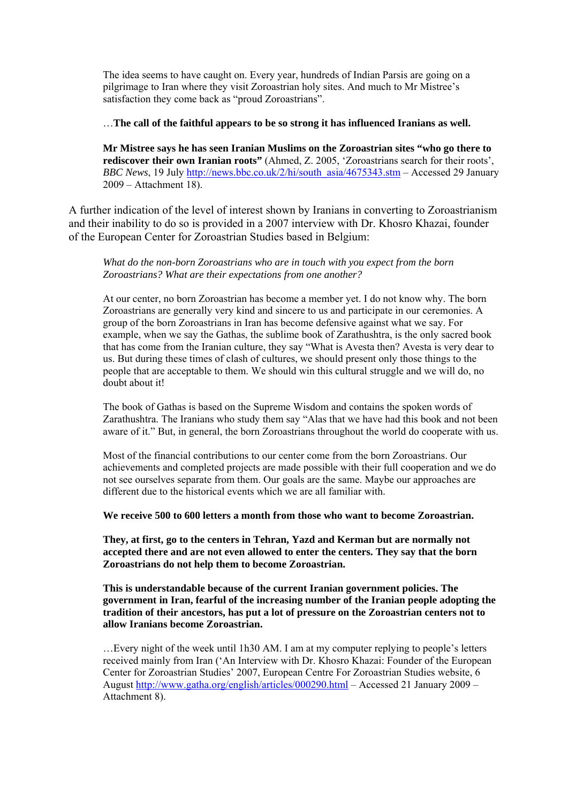The idea seems to have caught on. Every year, hundreds of Indian Parsis are going on a pilgrimage to Iran where they visit Zoroastrian holy sites. And much to Mr Mistree's satisfaction they come back as "proud Zoroastrians".

…**The call of the faithful appears to be so strong it has influenced Iranians as well.** 

**Mr Mistree says he has seen Iranian Muslims on the Zoroastrian sites "who go there to rediscover their own Iranian roots"** (Ahmed, Z. 2005, 'Zoroastrians search for their roots', *BBC News*, 19 July [http://news.bbc.co.uk/2/hi/south\\_asia/4675343.stm](http://news.bbc.co.uk/2/hi/south_asia/4675343.stm) – Accessed 29 January 2009 – Attachment 18).

A further indication of the level of interest shown by Iranians in converting to Zoroastrianism and their inability to do so is provided in a 2007 interview with Dr. Khosro Khazai, founder of the European Center for Zoroastrian Studies based in Belgium:

*What do the non-born Zoroastrians who are in touch with you expect from the born Zoroastrians? What are their expectations from one another?* 

At our center, no born Zoroastrian has become a member yet. I do not know why. The born Zoroastrians are generally very kind and sincere to us and participate in our ceremonies. A group of the born Zoroastrians in Iran has become defensive against what we say. For example, when we say the Gathas, the sublime book of Zarathushtra, is the only sacred book that has come from the Iranian culture, they say "What is Avesta then? Avesta is very dear to us. But during these times of clash of cultures, we should present only those things to the people that are acceptable to them. We should win this cultural struggle and we will do, no doubt about it!

The book of Gathas is based on the Supreme Wisdom and contains the spoken words of Zarathushtra. The Iranians who study them say "Alas that we have had this book and not been aware of it." But, in general, the born Zoroastrians throughout the world do cooperate with us.

Most of the financial contributions to our center come from the born Zoroastrians. Our achievements and completed projects are made possible with their full cooperation and we do not see ourselves separate from them. Our goals are the same. Maybe our approaches are different due to the historical events which we are all familiar with.

**We receive 500 to 600 letters a month from those who want to become Zoroastrian.** 

**They, at first, go to the centers in Tehran, Yazd and Kerman but are normally not accepted there and are not even allowed to enter the centers. They say that the born Zoroastrians do not help them to become Zoroastrian.** 

**This is understandable because of the current Iranian government policies. The government in Iran, fearful of the increasing number of the Iranian people adopting the tradition of their ancestors, has put a lot of pressure on the Zoroastrian centers not to allow Iranians become Zoroastrian.** 

…Every night of the week until 1h30 AM. I am at my computer replying to people's letters received mainly from Iran ('An Interview with Dr. Khosro Khazai: Founder of the European Center for Zoroastrian Studies' 2007, European Centre For Zoroastrian Studies website, 6 August<http://www.gatha.org/english/articles/000290.html> – Accessed 21 January 2009 – Attachment 8).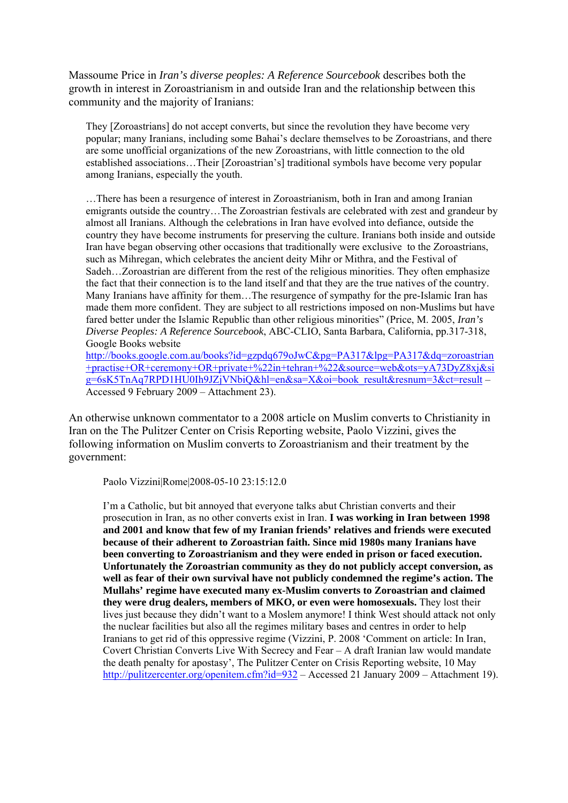Massoume Price in *Iran's diverse peoples: A Reference Sourcebook* describes both the growth in interest in Zoroastrianism in and outside Iran and the relationship between this community and the majority of Iranians:

They [Zoroastrians] do not accept converts, but since the revolution they have become very popular; many Iranians, including some Bahai's declare themselves to be Zoroastrians, and there are some unofficial organizations of the new Zoroastrians, with little connection to the old established associations…Their [Zoroastrian's] traditional symbols have become very popular among Iranians, especially the youth.

…There has been a resurgence of interest in Zoroastrianism, both in Iran and among Iranian emigrants outside the country…The Zoroastrian festivals are celebrated with zest and grandeur by almost all Iranians. Although the celebrations in Iran have evolved into defiance, outside the country they have become instruments for preserving the culture. Iranians both inside and outside Iran have began observing other occasions that traditionally were exclusive to the Zoroastrians, such as Mihregan, which celebrates the ancient deity Mihr or Mithra, and the Festival of Sadeh…Zoroastrian are different from the rest of the religious minorities. They often emphasize the fact that their connection is to the land itself and that they are the true natives of the country. Many Iranians have affinity for them…The resurgence of sympathy for the pre-Islamic Iran has made them more confident. They are subject to all restrictions imposed on non-Muslims but have fared better under the Islamic Republic than other religious minorities" (Price, M. 2005, *Iran's Diverse Peoples: A Reference Sourcebook*, ABC-CLIO, Santa Barbara, California, pp.317-318, Google Books website

[http://books.google.com.au/books?id=gzpdq679oJwC&pg=PA317&lpg=PA317&dq=zoroastrian](http://books.google.com.au/books?id=gzpdq679oJwC&pg=PA317&lpg=PA317&dq=zoroastrian+practise+OR+ceremony+OR+private+%22in+tehran+%22&source=web&ots=yA73DyZ8xj&sig=6sK5TnAq7RPD1HU0Ih9JZjVNbiQ&hl=en&sa=X&oi=book_result&resnum=3&ct=result) [+practise+OR+ceremony+OR+private+%22in+tehran+%22&source=web&ots=yA73DyZ8xj&si](http://books.google.com.au/books?id=gzpdq679oJwC&pg=PA317&lpg=PA317&dq=zoroastrian+practise+OR+ceremony+OR+private+%22in+tehran+%22&source=web&ots=yA73DyZ8xj&sig=6sK5TnAq7RPD1HU0Ih9JZjVNbiQ&hl=en&sa=X&oi=book_result&resnum=3&ct=result) [g=6sK5TnAq7RPD1HU0Ih9JZjVNbiQ&hl=en&sa=X&oi=book\\_result&resnum=3&ct=result](http://books.google.com.au/books?id=gzpdq679oJwC&pg=PA317&lpg=PA317&dq=zoroastrian+practise+OR+ceremony+OR+private+%22in+tehran+%22&source=web&ots=yA73DyZ8xj&sig=6sK5TnAq7RPD1HU0Ih9JZjVNbiQ&hl=en&sa=X&oi=book_result&resnum=3&ct=result) – Accessed 9 February 2009 – Attachment 23).

An otherwise unknown commentator to a 2008 article on Muslim converts to Christianity in Iran on the The Pulitzer Center on Crisis Reporting website, Paolo Vizzini, gives the following information on Muslim converts to Zoroastrianism and their treatment by the government:

Paolo Vizzini|Rome|2008-05-10 23:15:12.0

I'm a Catholic, but bit annoyed that everyone talks abut Christian converts and their prosecution in Iran, as no other converts exist in Iran. **I was working in Iran between 1998 and 2001 and know that few of my Iranian friends' relatives and friends were executed because of their adherent to Zoroastrian faith. Since mid 1980s many Iranians have been converting to Zoroastrianism and they were ended in prison or faced execution. Unfortunately the Zoroastrian community as they do not publicly accept conversion, as well as fear of their own survival have not publicly condemned the regime's action. The Mullahs' regime have executed many ex-Muslim converts to Zoroastrian and claimed they were drug dealers, members of MKO, or even were homosexuals.** They lost their lives just because they didn't want to a Moslem anymore! I think West should attack not only the nuclear facilities but also all the regimes military bases and centres in order to help Iranians to get rid of this oppressive regime (Vizzini, P. 2008 'Comment on article: In Iran, Covert Christian Converts Live With Secrecy and Fear – A draft Iranian law would mandate the death penalty for apostasy', The Pulitzer Center on Crisis Reporting website, 10 May <http://pulitzercenter.org/openitem.cfm?id=932> – Accessed 21 January 2009 – Attachment 19).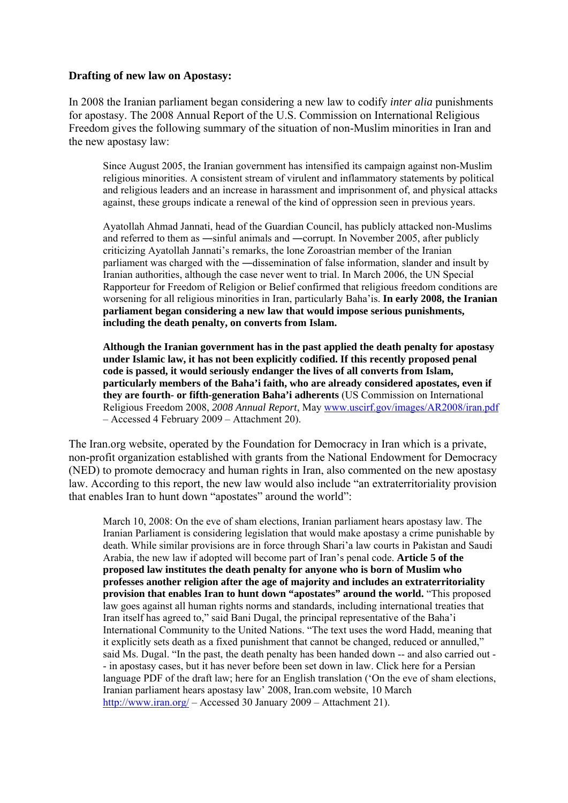## **Drafting of new law on Apostasy:**

In 2008 the Iranian parliament began considering a new law to codify *inter alia* punishments for apostasy. The 2008 Annual Report of the U.S. Commission on International Religious Freedom gives the following summary of the situation of non-Muslim minorities in Iran and the new apostasy law:

Since August 2005, the Iranian government has intensified its campaign against non-Muslim religious minorities. A consistent stream of virulent and inflammatory statements by political and religious leaders and an increase in harassment and imprisonment of, and physical attacks against, these groups indicate a renewal of the kind of oppression seen in previous years.

Ayatollah Ahmad Jannati, head of the Guardian Council, has publicly attacked non-Muslims and referred to them as ―sinful animals and ―corrupt. In November 2005, after publicly criticizing Ayatollah Jannati's remarks, the lone Zoroastrian member of the Iranian parliament was charged with the ―dissemination of false information, slander and insult by Iranian authorities, although the case never went to trial. In March 2006, the UN Special Rapporteur for Freedom of Religion or Belief confirmed that religious freedom conditions are worsening for all religious minorities in Iran, particularly Baha'is. **In early 2008, the Iranian parliament began considering a new law that would impose serious punishments, including the death penalty, on converts from Islam.**

**Although the Iranian government has in the past applied the death penalty for apostasy under Islamic law, it has not been explicitly codified. If this recently proposed penal code is passed, it would seriously endanger the lives of all converts from Islam, particularly members of the Baha'i faith, who are already considered apostates, even if they are fourth- or fifth-generation Baha'i adherents** (US Commission on International Religious Freedom 2008, *2008 Annual Report*, May [www.uscirf.gov/images/AR2008/iran.pdf](http://www.uscirf.gov/images/AR2008/iran.pdf) – Accessed 4 February 2009 – Attachment 20).

The Iran.org website, operated by the Foundation for Democracy in Iran which is a private, non-profit organization established with grants from the National Endowment for Democracy (NED) to promote democracy and human rights in Iran, also commented on the new apostasy law. According to this report, the new law would also include "an extraterritoriality provision that enables Iran to hunt down "apostates" around the world":

March 10, 2008: On the eve of sham elections, Iranian parliament hears apostasy law. The Iranian Parliament is considering legislation that would make apostasy a crime punishable by death. While similar provisions are in force through Shari'a law courts in Pakistan and Saudi Arabia, the new law if adopted will become part of Iran's penal code. **Article 5 of the proposed law institutes the death penalty for anyone who is born of Muslim who professes another religion after the age of majority and includes an extraterritoriality provision that enables Iran to hunt down "apostates" around the world.** "This proposed law goes against all human rights norms and standards, including international treaties that Iran itself has agreed to," said Bani Dugal, the principal representative of the Baha'i International Community to the United Nations. "The text uses the word Hadd, meaning that it explicitly sets death as a fixed punishment that cannot be changed, reduced or annulled," said Ms. Dugal. "In the past, the death penalty has been handed down -- and also carried out - - in apostasy cases, but it has never before been set down in law. Click here for a Persian language PDF of the draft law; here for an English translation ('On the eve of sham elections, Iranian parliament hears apostasy law' 2008, Iran.com website, 10 March <http://www.iran.org/> – Accessed 30 January 2009 – Attachment 21).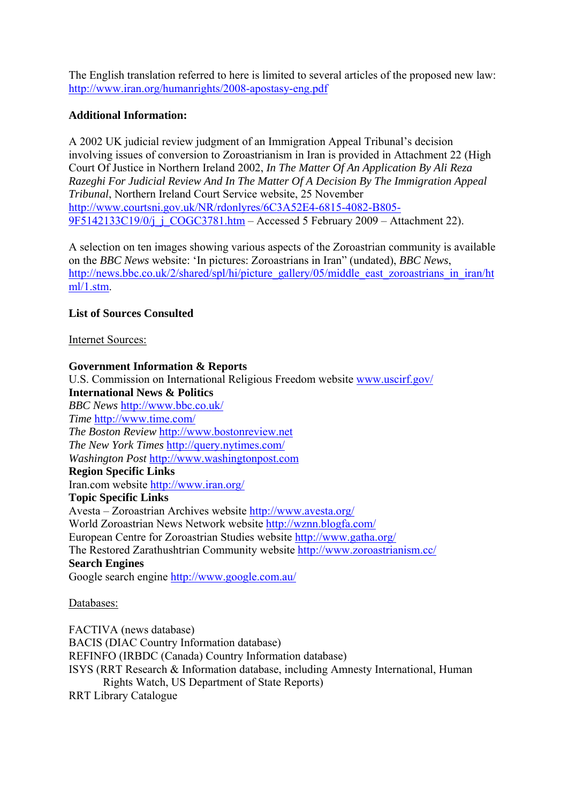The English translation referred to here is limited to several articles of the proposed new law: <http://www.iran.org/humanrights/2008-apostasy-eng.pdf>

# **Additional Information:**

A 2002 UK judicial review judgment of an Immigration Appeal Tribunal's decision involving issues of conversion to Zoroastrianism in Iran is provided in Attachment 22 (High Court Of Justice in Northern Ireland 2002, *In The Matter Of An Application By Ali Reza Razeghi For Judicial Review And In The Matter Of A Decision By The Immigration Appeal Tribunal*, Northern Ireland Court Service website, 25 November [http://www.courtsni.gov.uk/NR/rdonlyres/6C3A52E4-6815-4082-B805-](http://www.courtsni.gov.uk/NR/rdonlyres/6C3A52E4-6815-4082-B805-9F5142133C19/0/j_j_COGC3781.htm) [9F5142133C19/0/j\\_j\\_COGC3781.htm](http://www.courtsni.gov.uk/NR/rdonlyres/6C3A52E4-6815-4082-B805-9F5142133C19/0/j_j_COGC3781.htm) – Accessed 5 February 2009 – Attachment 22).

A selection on ten images showing various aspects of the Zoroastrian community is available on the *BBC News* website: 'In pictures: Zoroastrians in Iran" (undated), *BBC News*, [http://news.bbc.co.uk/2/shared/spl/hi/picture\\_gallery/05/middle\\_east\\_zoroastrians\\_in\\_iran/ht](http://news.bbc.co.uk/2/shared/spl/hi/picture_gallery/05/middle_east_zoroastrians_in_iran/html/1.stm) [ml/1.stm](http://news.bbc.co.uk/2/shared/spl/hi/picture_gallery/05/middle_east_zoroastrians_in_iran/html/1.stm).

# **List of Sources Consulted**

Internet Sources:

**Government Information & Reports**  U.S. Commission on International Religious Freedom website [www.uscirf.gov/](http://www.uscirf.gov/) **International News & Politics**  *BBC News* <http://www.bbc.co.uk/> *Time* <http://www.time.com/> *The Boston Review* [http://www.bostonreview.net](http://www.bostonreview.net/) *The New York Times* <http://query.nytimes.com/> *Washington Post* [http://www.washingtonpost.com](http://www.washingtonpost.com/) **Region Specific Links**  Iran.com website <http://www.iran.org/> **Topic Specific Links**  Avesta – Zoroastrian Archives website <http://www.avesta.org/> World Zoroastrian News Network website<http://wznn.blogfa.com/> European Centre for Zoroastrian Studies website<http://www.gatha.org/> The Restored Zarathushtrian Community website<http://www.zoroastrianism.cc/> **Search Engines**  Google search engine<http://www.google.com.au/>

Databases:

FACTIVA (news database) BACIS (DIAC Country Information database) REFINFO (IRBDC (Canada) Country Information database) ISYS (RRT Research & Information database, including Amnesty International, Human Rights Watch, US Department of State Reports) RRT Library Catalogue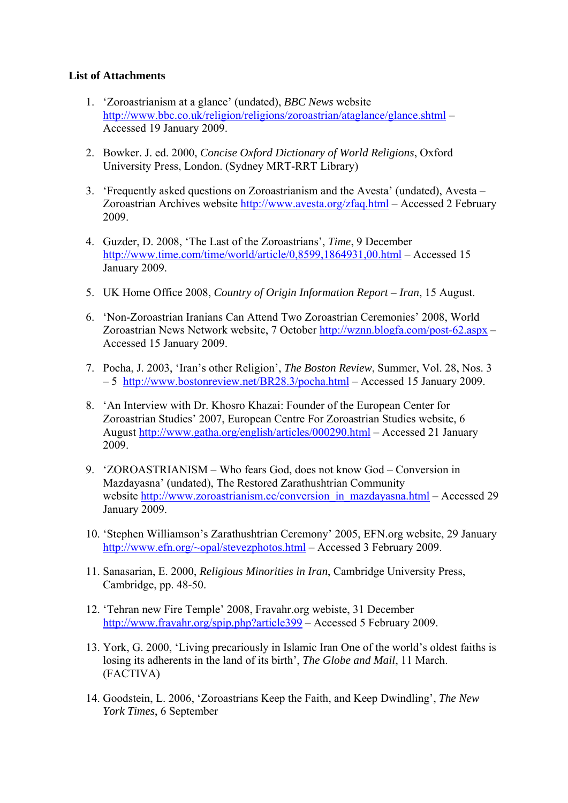# **List of Attachments**

- 1. 'Zoroastrianism at a glance' (undated), *BBC News* website <http://www.bbc.co.uk/religion/religions/zoroastrian/ataglance/glance.shtml>– Accessed 19 January 2009.
- 2. Bowker. J. ed. 2000, *Concise Oxford Dictionary of World Religions*, Oxford University Press, London. (Sydney MRT-RRT Library)
- 3. 'Frequently asked questions on Zoroastrianism and the Avesta' (undated), Avesta Zoroastrian Archives website<http://www.avesta.org/zfaq.html>– Accessed 2 February 2009.
- 4. Guzder, D. 2008, 'The Last of the Zoroastrians', *Time*, 9 December <http://www.time.com/time/world/article/0,8599,1864931,00.html> – Accessed 15 January 2009.
- 5. UK Home Office 2008, *Country of Origin Information Report Iran*, 15 August.
- 6. 'Non-Zoroastrian Iranians Can Attend Two Zoroastrian Ceremonies' 2008, World Zoroastrian News Network website, 7 October<http://wznn.blogfa.com/post-62.aspx> – Accessed 15 January 2009.
- 7. Pocha, J. 2003, 'Iran's other Religion', *The Boston Review*, Summer, Vol. 28, Nos. 3 – 5 <http://www.bostonreview.net/BR28.3/pocha.html> – Accessed 15 January 2009.
- 8. 'An Interview with Dr. Khosro Khazai: Founder of the European Center for Zoroastrian Studies' 2007, European Centre For Zoroastrian Studies website, 6 August <http://www.gatha.org/english/articles/000290.html>– Accessed 21 January 2009.
- 9. 'ZOROASTRIANISM Who fears God, does not know God Conversion in Mazdayasna' (undated), The Restored Zarathushtrian Community website [http://www.zoroastrianism.cc/conversion\\_in\\_mazdayasna.html](http://www.zoroastrianism.cc/conversion_in_mazdayasna.html) – Accessed 29 January 2009.
- 10. 'Stephen Williamson's Zarathushtrian Ceremony' 2005, EFN.org website, 29 January [http://www.efn.org/~opal/stevezphotos.html](http://www.efn.org/%7Eopal/stevezphotos.html) – Accessed 3 February 2009.
- 11. Sanasarian, E. 2000, *Religious Minorities in Iran*, Cambridge University Press, Cambridge, pp. 48-50.
- 12. 'Tehran new Fire Temple' 2008, Fravahr.org webiste, 31 December <http://www.fravahr.org/spip.php?article399>– Accessed 5 February 2009.
- 13. York, G. 2000, 'Living precariously in Islamic Iran One of the world's oldest faiths is losing its adherents in the land of its birth', *The Globe and Mail*, 11 March. (FACTIVA)
- 14. Goodstein, L. 2006, 'Zoroastrians Keep the Faith, and Keep Dwindling', *The New York Times*, 6 September